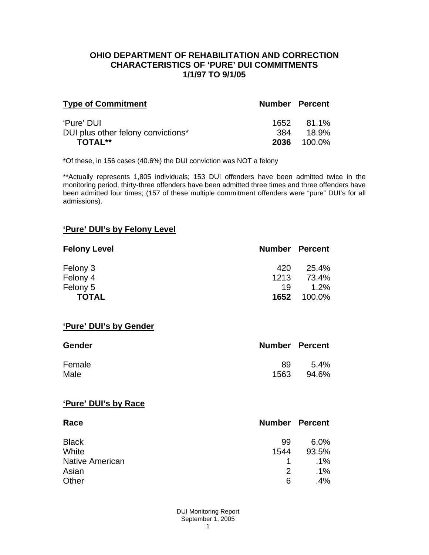### **OHIO DEPARTMENT OF REHABILITATION AND CORRECTION CHARACTERISTICS OF 'PURE' DUI COMMITMENTS 1/1/97 TO 9/1/05**

| <b>Type of Commitment</b>          | <b>Number Percent</b> |            |
|------------------------------------|-----------------------|------------|
| 'Pure' DUI                         |                       | 1652 81.1% |
| DUI plus other felony convictions* | .384                  | 18.9%      |
| TOTAL**                            | 2036                  | 100.0%     |

\*Of these, in 156 cases (40.6%) the DUI conviction was NOT a felony

\*\*Actually represents 1,805 individuals; 153 DUI offenders have been admitted twice in the monitoring period, thirty-three offenders have been admitted three times and three offenders have been admitted four times; (157 of these multiple commitment offenders were "pure" DUI's for all admissions).

## **'Pure' DUI's by Felony Level**

| <b>Felony Level</b> | <b>Number Percent</b> |         |
|---------------------|-----------------------|---------|
| Felony 3            | 420                   | 25.4%   |
| Felony 4            | 1213                  | 73.4%   |
| Felony 5            | 19                    | $1.2\%$ |
| <b>TOTAL</b>        | 1652                  | 100.0%  |

### **'Pure' DUI's by Gender**

| <b>Gender</b> | <b>Number Percent</b> |         |
|---------------|-----------------------|---------|
| Female        | 89                    | $5.4\%$ |
| Male          | 1563                  | 94.6%   |

#### **'Pure' DUI's by Race**

| Race                   | <b>Number Percent</b> |        |
|------------------------|-----------------------|--------|
| <b>Black</b>           | 99                    | 6.0%   |
| White                  | 1544                  | 93.5%  |
| <b>Native American</b> |                       | $.1\%$ |
| Asian                  | 2                     | $.1\%$ |
| Other                  | 6                     | .4%    |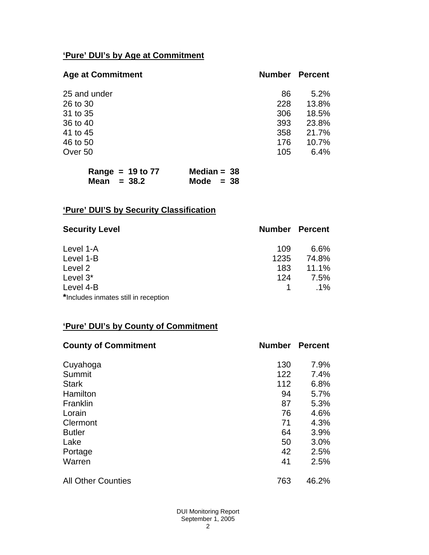# **'Pure' DUI's by Age at Commitment**

| <b>Age at Commitment</b> | <b>Number</b> | <b>Percent</b> |
|--------------------------|---------------|----------------|
| 25 and under             | 86            | 5.2%           |
| 26 to 30                 | 228           | 13.8%          |
| 31 to 35                 | 306           | 18.5%          |
| 36 to 40                 | 393           | 23.8%          |
| 41 to 45                 | 358           | 21.7%          |
| 46 to 50                 | 176           | 10.7%          |
| Over 50                  | 105           | 6.4%           |
|                          |               |                |

| Range = $19$ to $77$ | Median = $38$ |
|----------------------|---------------|
| Mean $= 38.2$        | Mode $= 38$   |

# **'Pure' DUI'S by Security Classification**

| <b>Security Level</b>                | <b>Number Percent</b> |        |
|--------------------------------------|-----------------------|--------|
| Level 1-A                            | 109                   | 6.6%   |
| Level 1-B                            | 1235                  | 74.8%  |
| Level 2                              | 183                   | 11.1%  |
| Level 3*                             | 124                   | 7.5%   |
| Level 4-B                            |                       | $.1\%$ |
| *Includes inmates still in reception |                       |        |

# **'Pure' DUI's by County of Commitment**

| <b>County of Commitment</b> | <b>Number</b> | <b>Percent</b> |
|-----------------------------|---------------|----------------|
| Cuyahoga                    | 130           | 7.9%           |
| Summit                      | 122           | 7.4%           |
| <b>Stark</b>                | 112           | 6.8%           |
| Hamilton                    | 94            | 5.7%           |
| Franklin                    | 87            | 5.3%           |
| Lorain                      | 76            | 4.6%           |
| Clermont                    | 71            | 4.3%           |
| <b>Butler</b>               | 64            | 3.9%           |
| Lake                        | 50            | 3.0%           |
| Portage                     | 42            | 2.5%           |
| Warren                      | 41            | 2.5%           |
| <b>All Other Counties</b>   | 763           | 46.2%          |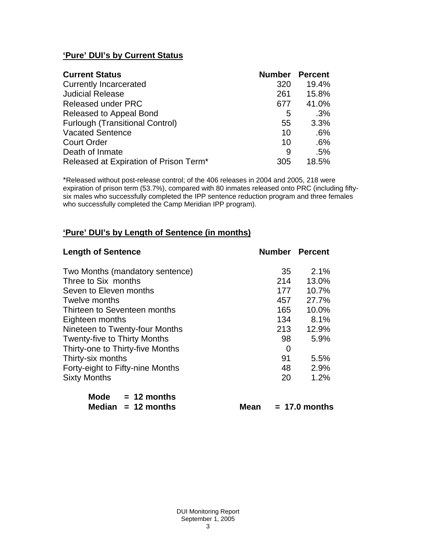# **'Pure' DUI's by Current Status**

| <b>Current Status</b>                  | <b>Number</b> | <b>Percent</b> |
|----------------------------------------|---------------|----------------|
| <b>Currently Incarcerated</b>          | 320           | 19.4%          |
| <b>Judicial Release</b>                | 261           | 15.8%          |
| <b>Released under PRC</b>              | 677           | 41.0%          |
| Released to Appeal Bond                | 5             | .3%            |
| <b>Furlough (Transitional Control)</b> | 55            | 3.3%           |
| <b>Vacated Sentence</b>                | 10            | .6%            |
| <b>Court Order</b>                     | 10            | .6%            |
| Death of Inmate                        | 9             | .5%            |
| Released at Expiration of Prison Term* | 305           | 18.5%          |

\*Released without post-release control; of the 406 releases in 2004 and 2005, 218 were expiration of prison term (53.7%), compared with 80 inmates released onto PRC (including fiftysix males who successfully completed the IPP sentence reduction program and three females who successfully completed the Camp Meridian IPP program).

# **'Pure' DUI's by Length of Sentence (in months)**

| <b>Length of Sentence</b>           | <b>Number Percent</b> |       |
|-------------------------------------|-----------------------|-------|
| Two Months (mandatory sentence)     | 35                    | 2.1%  |
| Three to Six months                 | 214                   | 13.0% |
| Seven to Eleven months              | 177                   | 10.7% |
| Twelve months                       | 457                   | 27.7% |
| Thirteen to Seventeen months        | 165                   | 10.0% |
| Eighteen months                     | 134                   | 8.1%  |
| Nineteen to Twenty-four Months      | 213                   | 12.9% |
| <b>Twenty-five to Thirty Months</b> | 98                    | 5.9%  |
| Thirty-one to Thirty-five Months    | $\overline{0}$        |       |
| Thirty-six months                   | 91                    | 5.5%  |
| Forty-eight to Fifty-nine Months    | 48                    | 2.9%  |
| <b>Sixty Months</b>                 | 20                    | 1.2%  |

| Mode   | $= 12$ months |
|--------|---------------|
| Median | $= 12$ months |

 $Mean = 17.0 months$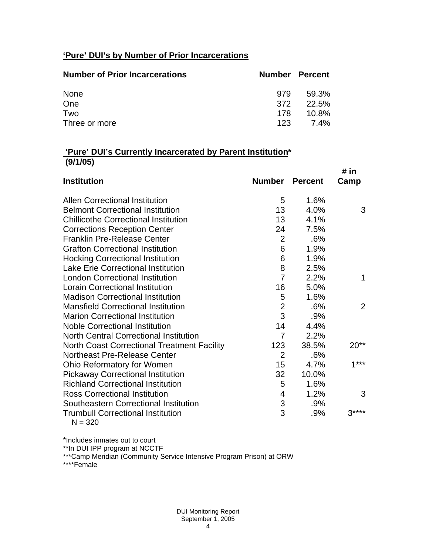# **'Pure' DUI's by Number of Prior Incarcerations**

| <b>Number of Prior Incarcerations</b> |     | <b>Number Percent</b> |
|---------------------------------------|-----|-----------------------|
| None                                  | 979 | 59.3%                 |
| One                                   | 372 | 22.5%                 |
| Two                                   | 178 | $10.8\%$              |
| Three or more                         | 123 | 7.4%                  |

### **'Pure' DUI's Currently Incarcerated by Parent Institution\* (9/1/05)**

|                                                    |                           |                | # in   |
|----------------------------------------------------|---------------------------|----------------|--------|
| <b>Institution</b>                                 | <b>Number</b>             | <b>Percent</b> | Camp   |
| <b>Allen Correctional Institution</b>              | 5                         | 1.6%           |        |
| <b>Belmont Correctional Institution</b>            | 13                        | 4.0%           | 3      |
| <b>Chillicothe Correctional Institution</b>        | 13                        | 4.1%           |        |
| <b>Corrections Reception Center</b>                | 24                        | 7.5%           |        |
| <b>Franklin Pre-Release Center</b>                 | $\overline{2}$            | .6%            |        |
| <b>Grafton Correctional Institution</b>            | 6                         | 1.9%           |        |
| <b>Hocking Correctional Institution</b>            | 6                         | 1.9%           |        |
| <b>Lake Erie Correctional Institution</b>          | 8                         | 2.5%           |        |
| <b>London Correctional Institution</b>             | $\overline{7}$            | 2.2%           | 1      |
| <b>Lorain Correctional Institution</b>             | 16                        | 5.0%           |        |
| <b>Madison Correctional Institution</b>            | 5                         | 1.6%           |        |
| <b>Mansfield Correctional Institution</b>          | $\overline{2}$            | .6%            | 2      |
| <b>Marion Correctional Institution</b>             | 3                         | .9%            |        |
| <b>Noble Correctional Institution</b>              | 14                        | 4.4%           |        |
| <b>North Central Correctional Institution</b>      | $\overline{7}$            | 2.2%           |        |
| <b>North Coast Correctional Treatment Facility</b> | 123                       | 38.5%          | $20**$ |
| Northeast Pre-Release Center                       | $\overline{2}$            | .6%            |        |
| Ohio Reformatory for Women                         | 15                        | 4.7%           | $1***$ |
| <b>Pickaway Correctional Institution</b>           | 32                        | 10.0%          |        |
| <b>Richland Correctional Institution</b>           | 5                         | 1.6%           |        |
| <b>Ross Correctional Institution</b>               | 4                         | 1.2%           | 3      |
| Southeastern Correctional Institution              | $\ensuremath{\mathsf{3}}$ | .9%            |        |
| <b>Trumbull Correctional Institution</b>           | 3                         | .9%            | $3***$ |
| $N = 320$                                          |                           |                |        |

\*Includes inmates out to court

\*\*In DUI IPP program at NCCTF

\*\*\*Camp Meridian (Community Service Intensive Program Prison) at ORW

\*\*\*\*Female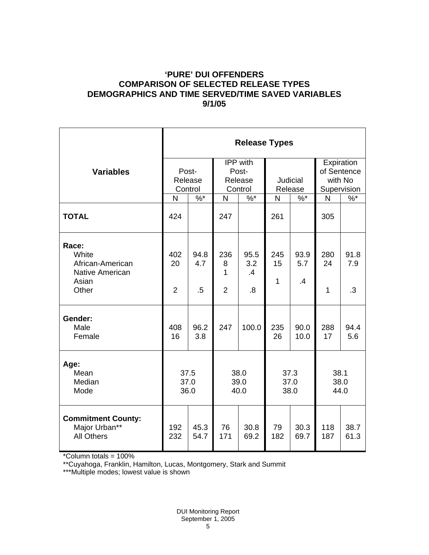### **'PURE' DUI OFFENDERS COMPARISON OF SELECTED RELEASE TYPES DEMOGRAPHICS AND TIME SERVED/TIME SAVED VARIABLES 9/1/05**

|                                                                                | <b>Release Types</b>        |                       |                                                |                         |                      |                     |                                                     |                   |
|--------------------------------------------------------------------------------|-----------------------------|-----------------------|------------------------------------------------|-------------------------|----------------------|---------------------|-----------------------------------------------------|-------------------|
| <b>Variables</b>                                                               | Post-<br>Release<br>Control |                       | <b>IPP</b> with<br>Post-<br>Release<br>Control |                         | Judicial<br>Release  |                     | Expiration<br>of Sentence<br>with No<br>Supervision |                   |
|                                                                                | N                           | $\frac{9}{6}$         | $\mathsf{N}$                                   | $\overline{\%^{*}}$     | N                    | $\sqrt[6]{\cdot^*}$ | N                                                   | $\sqrt[6]{6}$     |
| <b>TOTAL</b>                                                                   | 424                         |                       | 247                                            |                         | 261                  |                     | 305                                                 |                   |
| Race:<br>White<br>African-American<br><b>Native American</b><br>Asian<br>Other | 402<br>20<br>$\overline{2}$ | 94.8<br>4.7<br>$.5\,$ | 236<br>8<br>1<br>$\overline{2}$                | 95.5<br>3.2<br>.4<br>.8 | 245<br>15<br>1       | 93.9<br>5.7<br>.4   | 280<br>24<br>1                                      | 91.8<br>7.9<br>.3 |
| Gender:<br>Male<br>Female                                                      | 408<br>16                   | 96.2<br>3.8           | 247                                            | 100.0                   | 235<br>26            | 90.0<br>10.0        | 288<br>17                                           | 94.4<br>5.6       |
| Age:<br>Mean<br>Median<br>Mode                                                 | 37.5<br>37.0<br>36.0        |                       | 38.0<br>39.0<br>40.0                           |                         | 37.3<br>37.0<br>38.0 |                     | 38.1<br>38.0<br>44.0                                |                   |
| <b>Commitment County:</b><br>Major Urban**<br><b>All Others</b>                | 192<br>232                  | 45.3<br>54.7          | 76<br>171                                      | 30.8<br>69.2            | 79<br>182            | 30.3<br>69.7        | 118<br>187                                          | 38.7<br>61.3      |

\*Column totals = 100%

\*\*Cuyahoga, Franklin, Hamilton, Lucas, Montgomery, Stark and Summit

\*\*\*Multiple modes; lowest value is shown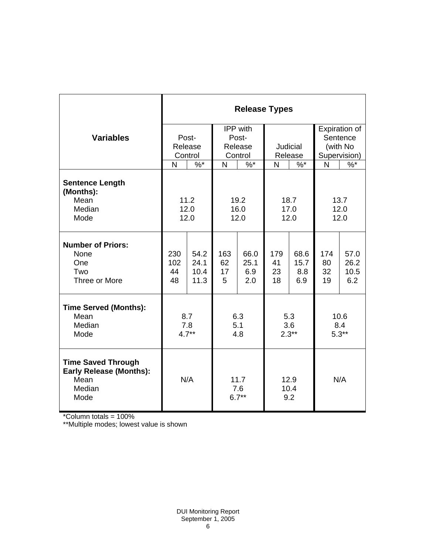|                                                                                       | <b>Release Types</b> |                |                        |            |                     |            |              |               |  |
|---------------------------------------------------------------------------------------|----------------------|----------------|------------------------|------------|---------------------|------------|--------------|---------------|--|
|                                                                                       |                      |                | IPP with               |            |                     |            |              | Expiration of |  |
| <b>Variables</b>                                                                      | Post-                |                | Post-                  |            |                     |            |              | Sentence      |  |
|                                                                                       | Release              |                | Release                |            | <b>Judicial</b>     |            | (with No     |               |  |
|                                                                                       | Control              |                | Control                |            | Release             |            | Supervision) |               |  |
|                                                                                       | N                    | $%^*$          | N                      | $%$ *      | N                   | $%^*$      | N            | $%^*$         |  |
| <b>Sentence Length</b><br>(Months):<br>Mean                                           |                      | 11.2           |                        | 19.2       | 18.7                |            | 13.7         |               |  |
| Median                                                                                | 12.0                 |                | 16.0                   |            | 17.0                |            | 12.0         |               |  |
| Mode                                                                                  | 12.0                 |                | 12.0                   |            | 12.0                |            | 12.0         |               |  |
|                                                                                       |                      |                |                        |            |                     |            |              |               |  |
| <b>Number of Priors:</b>                                                              |                      |                |                        |            |                     |            |              |               |  |
| None                                                                                  | 230                  | 54.2           | 163                    | 66.0       | 179                 | 68.6       | 174          | 57.0          |  |
| One                                                                                   | 102                  | 24.1           | 62                     | 25.1       | 41                  | 15.7       | 80           | 26.2          |  |
| Two<br>Three or More                                                                  | 44<br>48             | 10.4<br>11.3   | 17<br>5                | 6.9<br>2.0 | 23<br>18            | 8.8<br>6.9 | 32<br>19     | 10.5<br>6.2   |  |
|                                                                                       |                      |                |                        |            |                     |            |              |               |  |
| <b>Time Served (Months):</b>                                                          |                      |                |                        |            |                     |            |              |               |  |
| Mean                                                                                  | 8.7                  |                | 6.3                    |            | 5.3                 |            | 10.6         |               |  |
| Median                                                                                | 7.8                  |                | 5.1                    |            | 3.6                 |            | 8.4          |               |  |
| Mode                                                                                  |                      | $4.7**$<br>4.8 |                        | $2.3**$    |                     | $5.3**$    |              |               |  |
| <b>Time Saved Through</b><br><b>Early Release (Months):</b><br>Mean<br>Median<br>Mode | N/A                  |                | 11.7<br>7.6<br>$6.7**$ |            | 12.9<br>10.4<br>9.2 |            | N/A          |               |  |

\*Column totals = 100%

\*\*Multiple modes; lowest value is shown